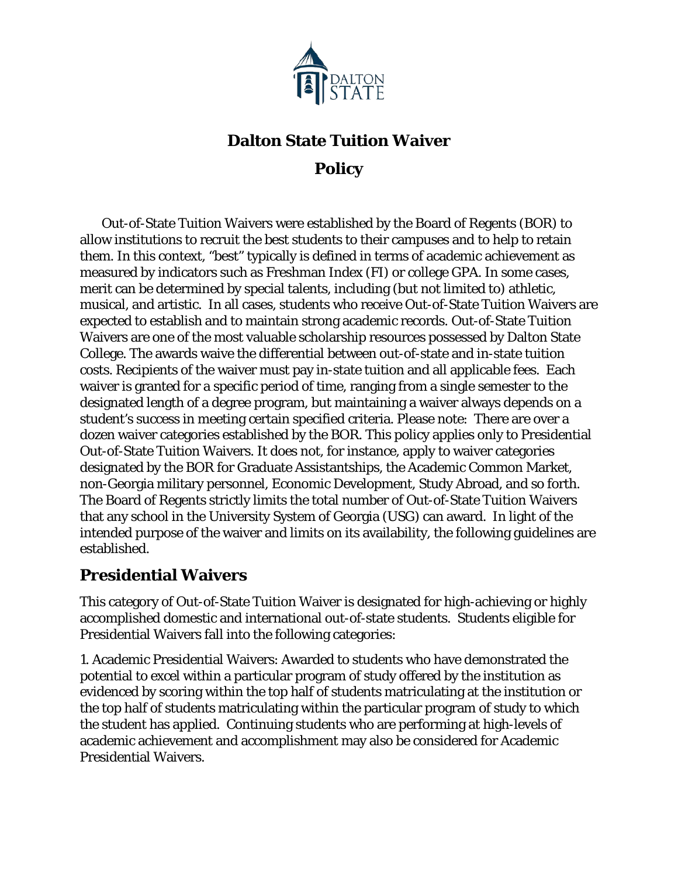

# **Dalton State Tuition Waiver Policy**

 Out-of-State Tuition Waivers were established by the Board of Regents (BOR) to allow institutions to recruit the best students to their campuses and to help to retain them. In this context, "best" typically is defined in terms of academic achievement as measured by indicators such as Freshman Index (FI) or college GPA. In some cases, merit can be determined by special talents, including (but not limited to) athletic, musical, and artistic. In all cases, students who receive Out-of-State Tuition Waivers are expected to establish and to maintain strong academic records. Out-of-State Tuition Waivers are one of the most valuable scholarship resources possessed by Dalton State College. The awards waive the differential between out-of-state and in-state tuition costs. Recipients of the waiver must pay in-state tuition and all applicable fees. Each waiver is granted for a specific period of time, ranging from a single semester to the designated length of a degree program, but maintaining a waiver always depends on a student's success in meeting certain specified criteria. Please note: There are over a dozen waiver categories established by the BOR. This policy applies only to Presidential Out-of-State Tuition Waivers. It does not, for instance, apply to waiver categories designated by the BOR for Graduate Assistantships, the Academic Common Market, non-Georgia military personnel, Economic Development, Study Abroad, and so forth. The Board of Regents strictly limits the total number of Out-of-State Tuition Waivers that any school in the University System of Georgia (USG) can award. In light of the intended purpose of the waiver and limits on its availability, the following guidelines are established.

### **Presidential Waivers**

This category of Out-of-State Tuition Waiver is designated for high-achieving or highly accomplished domestic and international out-of-state students. Students eligible for Presidential Waivers fall into the following categories:

1. Academic Presidential Waivers: Awarded to students who have demonstrated the potential to excel within a particular program of study offered by the institution as evidenced by scoring within the top half of students matriculating at the institution or the top half of students matriculating within the particular program of study to which the student has applied. Continuing students who are performing at high-levels of academic achievement and accomplishment may also be considered for Academic Presidential Waivers.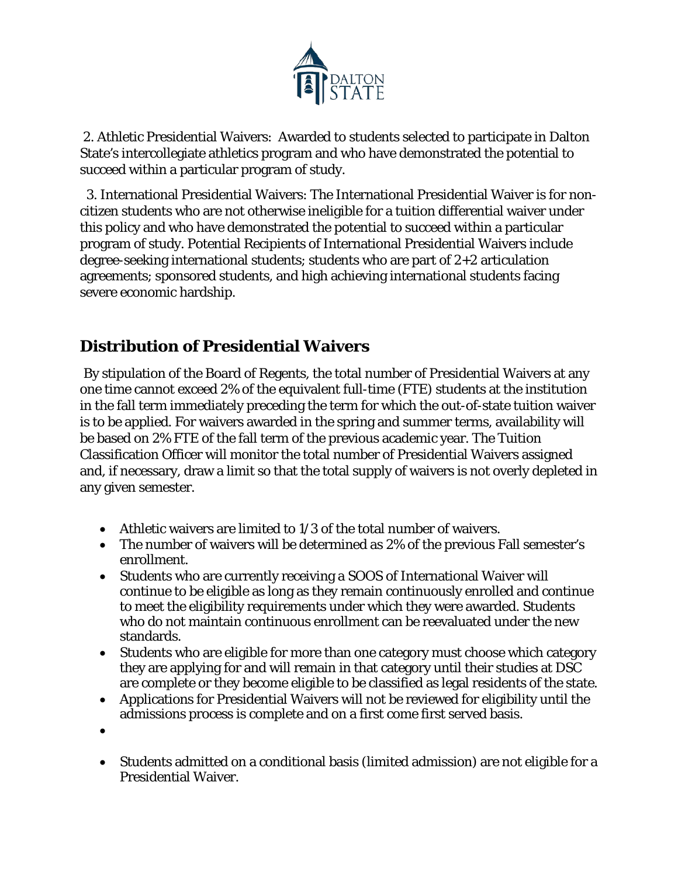

2. Athletic Presidential Waivers: Awarded to students selected to participate in Dalton State's intercollegiate athletics program and who have demonstrated the potential to succeed within a particular program of study.

 3. International Presidential Waivers: The International Presidential Waiver is for noncitizen students who are not otherwise ineligible for a tuition differential waiver under this policy and who have demonstrated the potential to succeed within a particular program of study. Potential Recipients of International Presidential Waivers include degree-seeking international students; students who are part of 2+2 articulation agreements; sponsored students, and high achieving international students facing severe economic hardship.

# **Distribution of Presidential Waivers**

By stipulation of the Board of Regents, the total number of Presidential Waivers at any one time cannot exceed 2% of the equivalent full-time (FTE) students at the institution in the fall term immediately preceding the term for which the out-of-state tuition waiver is to be applied. For waivers awarded in the spring and summer terms, availability will be based on 2% FTE of the fall term of the previous academic year. The Tuition Classification Officer will monitor the total number of Presidential Waivers assigned and, if necessary, draw a limit so that the total supply of waivers is not overly depleted in any given semester.

- Athletic waivers are limited to 1/3 of the total number of waivers.
- The number of waivers will be determined as 2% of the previous Fall semester's enrollment.
- Students who are currently receiving a SOOS of International Waiver will continue to be eligible as long as they remain continuously enrolled and continue to meet the eligibility requirements under which they were awarded. Students who do not maintain continuous enrollment can be reevaluated under the new standards.
- Students who are eligible for more than one category must choose which category they are applying for and will remain in that category until their studies at DSC are complete or they become eligible to be classified as legal residents of the state.
- Applications for Presidential Waivers will not be reviewed for eligibility until the admissions process is complete and on a first come first served basis.
- •
- Students admitted on a conditional basis (limited admission) are not eligible for a Presidential Waiver.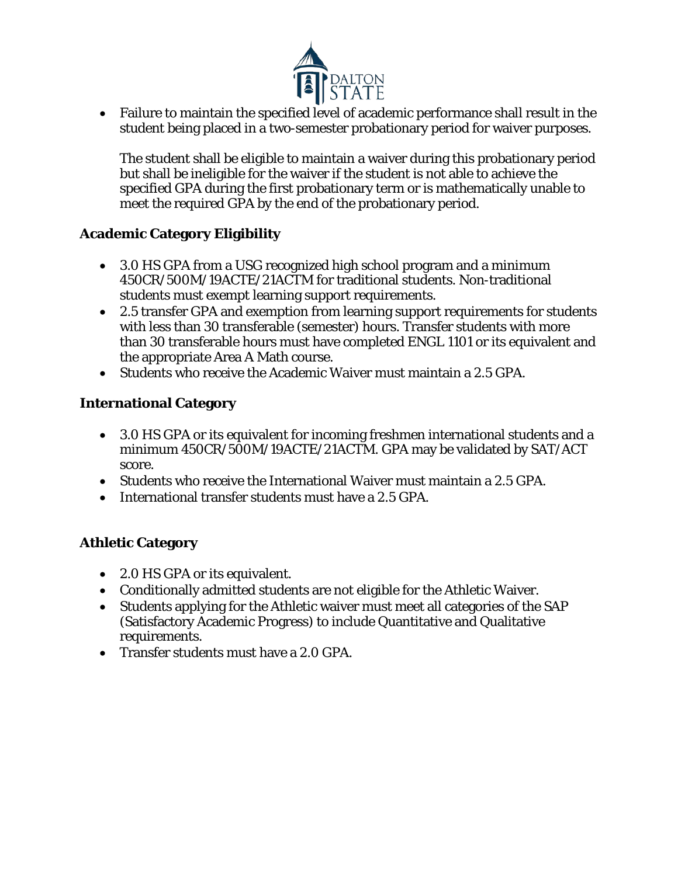

• Failure to maintain the specified level of academic performance shall result in the student being placed in a two-semester probationary period for waiver purposes.

The student shall be eligible to maintain a waiver during this probationary period but shall be ineligible for the waiver if the student is not able to achieve the specified GPA during the first probationary term or is mathematically unable to meet the required GPA by the end of the probationary period.

### **Academic Category Eligibility**

- 3.0 HS GPA from a USG recognized high school program and a minimum 450CR/500M/19ACTE/21ACTM for traditional students. Non-traditional students must exempt learning support requirements.
- 2.5 transfer GPA and exemption from learning support requirements for students with less than 30 transferable (semester) hours. Transfer students with more than 30 transferable hours must have completed ENGL 1101 or its equivalent and the appropriate Area A Math course.
- Students who receive the Academic Waiver must maintain a 2.5 GPA.

#### **International Category**

- 3.0 HS GPA or its equivalent for incoming freshmen international students and a minimum 450CR/500M/19ACTE/21ACTM. GPA may be validated by SAT/ACT score.
- Students who receive the International Waiver must maintain a 2.5 GPA.
- International transfer students must have a 2.5 GPA.

### **Athletic Category**

- 2.0 HS GPA or its equivalent.
- Conditionally admitted students are not eligible for the Athletic Waiver.
- Students applying for the Athletic waiver must meet all categories of the SAP (Satisfactory Academic Progress) to include Quantitative and Qualitative requirements.
- Transfer students must have a 2.0 GPA.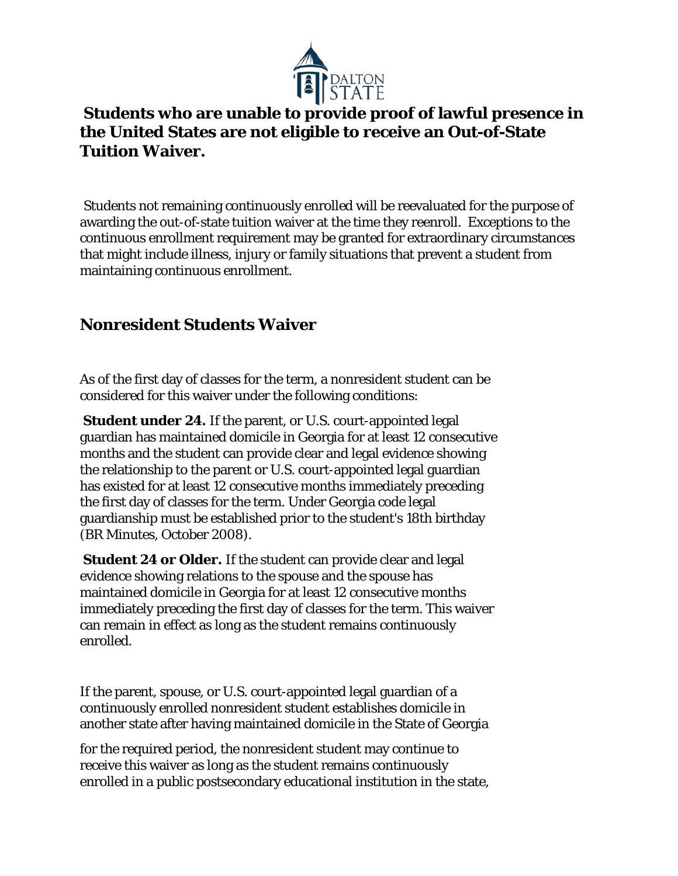

# **Students who are unable to provide proof of lawful presence in the United States are not eligible to receive an Out-of-State Tuition Waiver.**

Students not remaining continuously enrolled will be reevaluated for the purpose of awarding the out-of-state tuition waiver at the time they reenroll. Exceptions to the continuous enrollment requirement may be granted for extraordinary circumstances that might include illness, injury or family situations that prevent a student from maintaining continuous enrollment.

# **Nonresident Students Waiver**

As of the first day of classes for the term, a nonresident student can be considered for this waiver under the following conditions:

**Student under 24.** If the parent, or U.S. court-appointed legal guardian has maintained domicile in Georgia for at least 12 consecutive months and the student can provide clear and legal evidence showing the relationship to the parent or U.S. court-appointed legal guardian has existed for at least 12 consecutive months immediately preceding the first day of classes for the term. Under Georgia code legal guardianship must be established prior to the student's 18th birthday (BR Minutes, October 2008).

**Student 24 or Older.** If the student can provide clear and legal evidence showing relations to the spouse and the spouse has maintained domicile in Georgia for at least 12 consecutive months immediately preceding the first day of classes for the term. This waiver can remain in effect as long as the student remains continuously enrolled.

If the parent, spouse, or U.S. court-appointed legal guardian of a continuously enrolled nonresident student establishes domicile in another state after having maintained domicile in the State of Georgia

for the required period, the nonresident student may continue to receive this waiver as long as the student remains continuously enrolled in a public postsecondary educational institution in the state,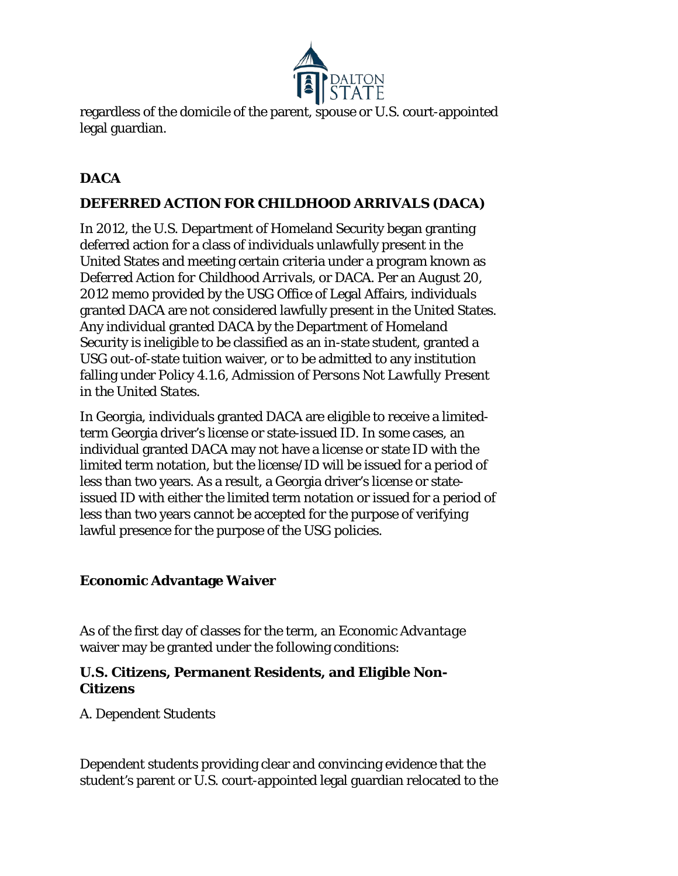

regardless of the domicile of the parent, spouse or U.S. court-appointed legal guardian.

### **DACA**

### **DEFERRED ACTION FOR CHILDHOOD ARRIVALS (DACA)**

In 2012, the U.S. Department of Homeland Security began granting deferred action for a class of individuals unlawfully present in the United States and meeting certain criteria under a program known as *Deferred Action for Childhood Arrivals,* or *DACA*. Per an August 20, 2012 memo provided by the USG Office of Legal Affairs, individuals granted DACA are not considered lawfully present in the United States. Any individual granted DACA by the Department of Homeland Security is ineligible to be classified as an in-state student, granted a USG out-of-state tuition waiver, or to be admitted to any institution falling under Policy 4.1.6, *Admission of Persons Not Lawfully Present in the United States.* 

In Georgia, individuals granted DACA are eligible to receive a limitedterm Georgia driver's license or state-issued ID. In some cases, an individual granted DACA may not have a license or state ID with the limited term notation, but the license/ID will be issued for a period of less than two years. As a result, a Georgia driver's license or stateissued ID with either the limited term notation or issued for a period of less than two years cannot be accepted for the purpose of verifying lawful presence for the purpose of the USG policies.

#### **Economic Advantage Waiver**

As of the first day of classes for the term, an *Economic Advantage*  waiver may be granted under the following conditions:

### **U.S. Citizens, Permanent Residents, and Eligible Non-Citizens**

*A. Dependent Students* 

Dependent students providing clear and convincing evidence that the student's parent or U.S. court-appointed legal guardian relocated to the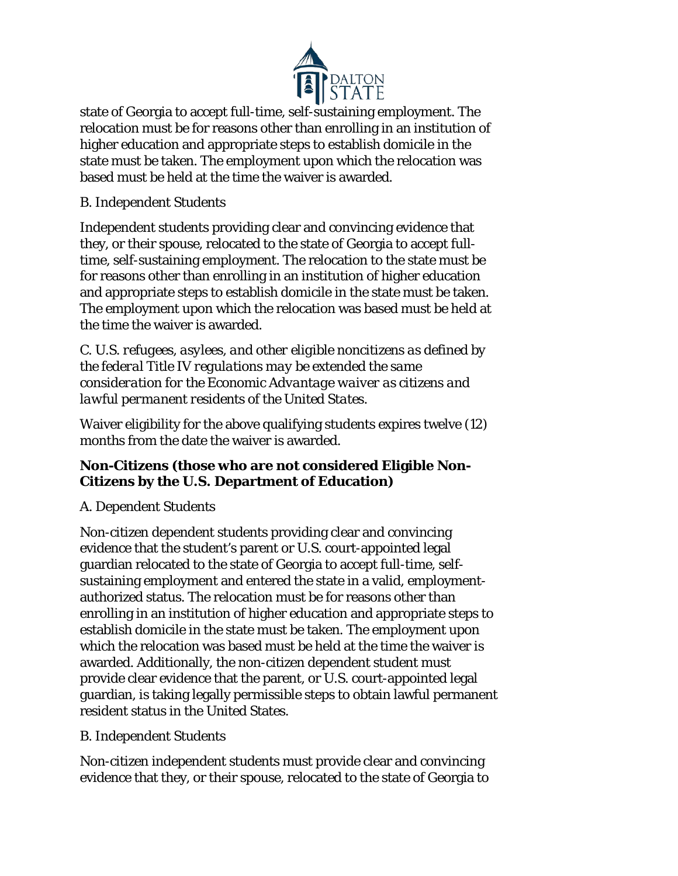

state of Georgia to accept full-time, self-sustaining employment. The relocation must be for reasons other than enrolling in an institution of higher education and appropriate steps to establish domicile in the state must be taken. The employment upon which the relocation was based must be held at the time the waiver is awarded.

### *B. Independent Students*

Independent students providing clear and convincing evidence that they, or their spouse, relocated to the state of Georgia to accept fulltime, self-sustaining employment. The relocation to the state must be for reasons other than enrolling in an institution of higher education and appropriate steps to establish domicile in the state must be taken. The employment upon which the relocation was based must be held at the time the waiver is awarded.

*C. U.S. refugees, asylees, and other eligible noncitizens as defined by the federal Title IV regulations may be extended the same consideration for the Economic Advantage waiver as citizens and lawful permanent residents of the United States.* 

Waiver eligibility for the above qualifying students expires twelve (12) months from the date the waiver is awarded.

### **Non-Citizens (those who are not considered Eligible Non-Citizens by the U.S. Department of Education)**

### *A. Dependent Students*

Non-citizen dependent students providing clear and convincing evidence that the student's parent or U.S. court-appointed legal guardian relocated to the state of Georgia to accept full-time, selfsustaining employment and entered the state in a valid, employmentauthorized status. The relocation must be for reasons other than enrolling in an institution of higher education and appropriate steps to establish domicile in the state must be taken. The employment upon which the relocation was based must be held at the time the waiver is awarded. Additionally, the non-citizen dependent student must provide clear evidence that the parent, or U.S. court-appointed legal guardian, is taking legally permissible steps to obtain lawful permanent resident status in the United States.

### *B. Independent Students*

Non-citizen independent students must provide clear and convincing evidence that they, or their spouse, relocated to the state of Georgia to